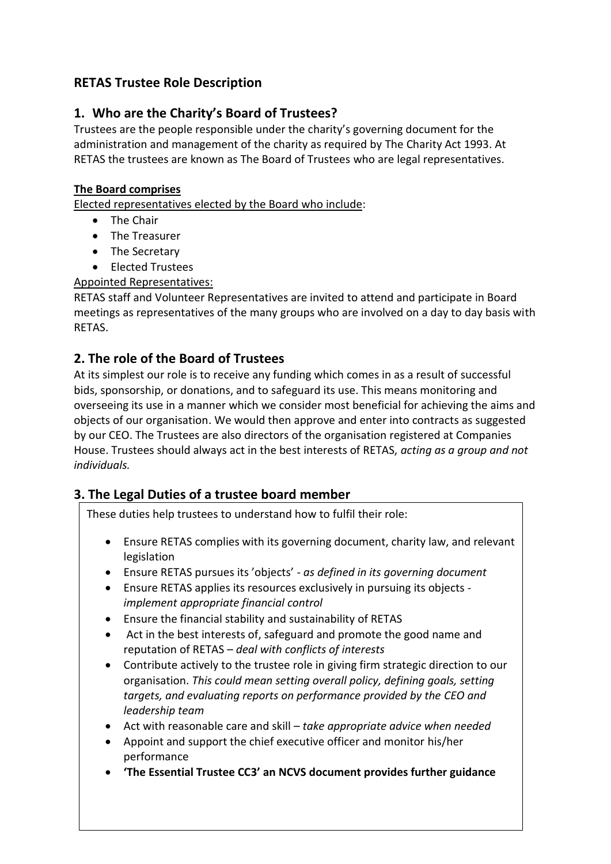# **RETAS Trustee Role Description**

# **1. Who are the Charity's Board of Trustees?**

Trustees are the people responsible under the charity's governing document for the administration and management of the charity as required by The Charity Act 1993. At RETAS the trustees are known as The Board of Trustees who are legal representatives.

#### **The Board comprises**

Elected representatives elected by the Board who include:

- The Chair
- The Treasurer
- The Secretary
- **•** Elected Trustees

#### Appointed Representatives:

RETAS staff and Volunteer Representatives are invited to attend and participate in Board meetings as representatives of the many groups who are involved on a day to day basis with RETAS.

## **2. The role of the Board of Trustees**

At its simplest our role is to receive any funding which comes in as a result of successful bids, sponsorship, or donations, and to safeguard its use. This means monitoring and overseeing its use in a manner which we consider most beneficial for achieving the aims and objects of our organisation. We would then approve and enter into contracts as suggested by our CEO. The Trustees are also directors of the organisation registered at Companies House. Trustees should always act in the best interests of RETAS, *acting as a group and not individuals.*

# **3. The Legal Duties of a trustee board member**

These duties help trustees to understand how to fulfil their role:

- Ensure RETAS complies with its governing document, charity law, and relevant legislation
- Ensure RETAS pursues its 'objects' *as defined in its governing document*
- Ensure RETAS applies its resources exclusively in pursuing its objects *implement appropriate financial control*
- Ensure the financial stability and sustainability of RETAS
- Act in the best interests of, safeguard and promote the good name and reputation of RETAS – *deal with conflicts of interests*
- Contribute actively to the trustee role in giving firm strategic direction to our organisation. *This could mean setting overall policy, defining goals, setting targets, and evaluating reports on performance provided by the CEO and leadership team*
- Act with reasonable care and skill *take appropriate advice when needed*
- Appoint and support the chief executive officer and monitor his/her performance
- **'The Essential Trustee CC3' an NCVS document provides further guidance**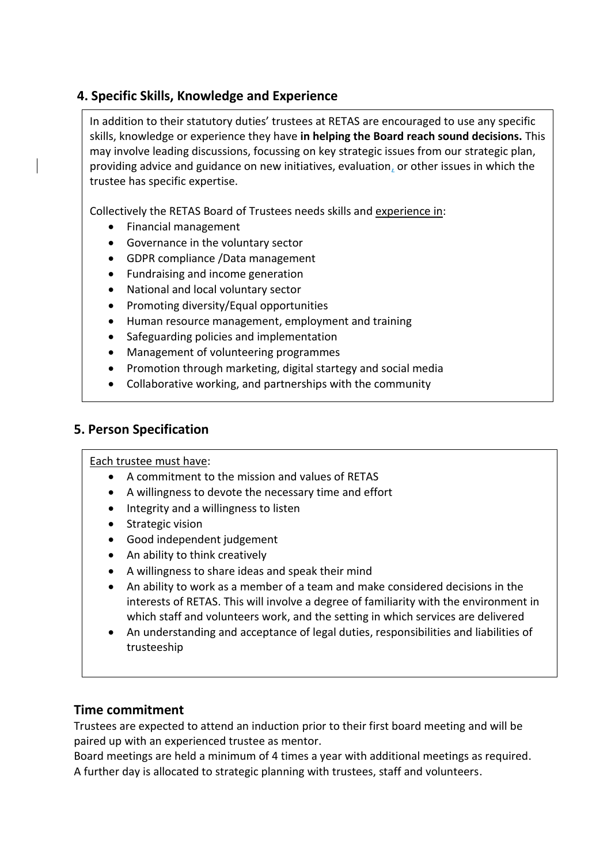# **4. Specific Skills, Knowledge and Experience**

In addition to their statutory duties' trustees at RETAS are encouraged to use any specific skills, knowledge or experience they have **in helping the Board reach sound decisions.** This may involve leading discussions, focussing on key strategic issues from our strategic plan, providing advice and guidance on new initiatives, evaluation, or other issues in which the trustee has specific expertise.

Collectively the RETAS Board of Trustees needs skills and experience in:

- Financial management
- Governance in the voluntary sector
- GDPR compliance /Data management
- Fundraising and income generation
- National and local voluntary sector
- Promoting diversity/Equal opportunities
- Human resource management, employment and training
- Safeguarding policies and implementation
- Management of volunteering programmes
- Promotion through marketing, digital startegy and social media
- Collaborative working, and partnerships with the community

### **5. Person Specification**

#### Each trustee must have:

- A commitment to the mission and values of RETAS
- A willingness to devote the necessary time and effort
- Integrity and a willingness to listen
- Strategic vision
- Good independent judgement
- An ability to think creatively
- A willingness to share ideas and speak their mind
- An ability to work as a member of a team and make considered decisions in the interests of RETAS. This will involve a degree of familiarity with the environment in which staff and volunteers work, and the setting in which services are delivered
- An understanding and acceptance of legal duties, responsibilities and liabilities of trusteeship

#### **Time commitment**

Trustees are expected to attend an induction prior to their first board meeting and will be paired up with an experienced trustee as mentor.

Board meetings are held a minimum of 4 times a year with additional meetings as required. A further day is allocated to strategic planning with trustees, staff and volunteers.